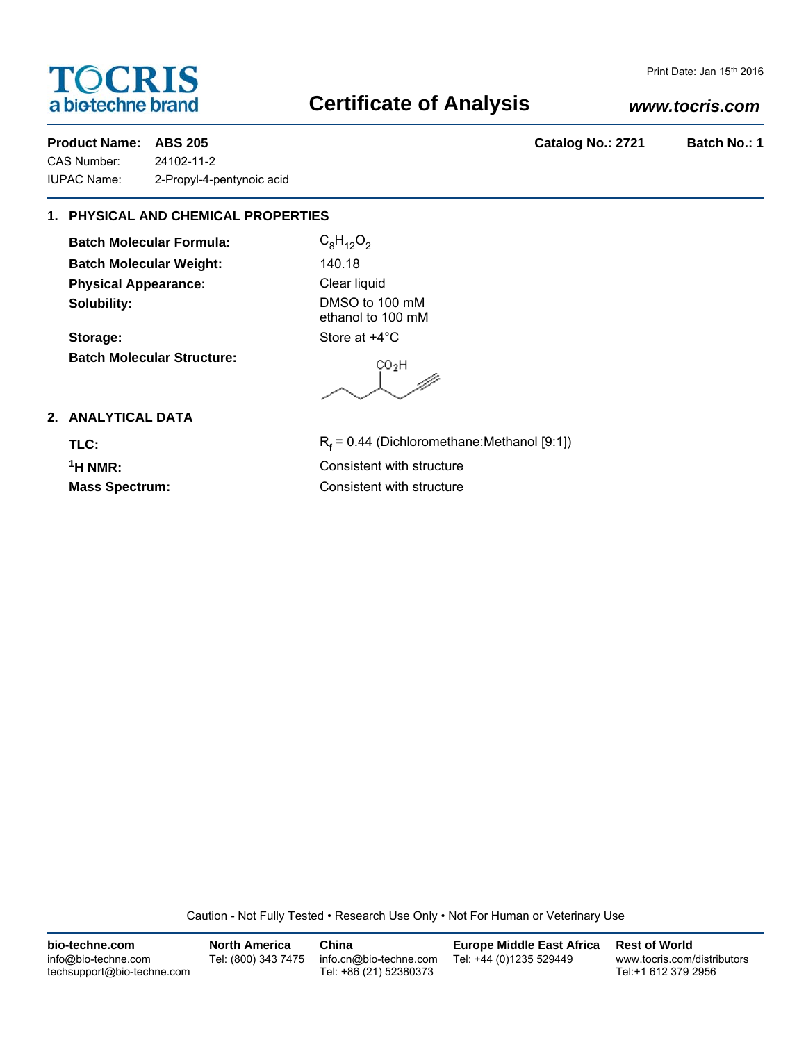# **TOCRIS** a biotechne brand

## **Certificate of Analysis**

# Print Date: Jan 15th 2016

### *www.tocris.com*

CAS Number: 24102-11-2 IUPAC Name: 2-Propyl-4-pentynoic acid

**Product Name: ABS 205 Catalog No.: 2721 Batch No.: 1**

### **1. PHYSICAL AND CHEMICAL PROPERTIES**

**Batch Molecular Formula:** C<sub>8</sub>H<sub>12</sub>O<sub>2</sub> **Batch Molecular Weight:** 140.18 **Physical Appearance:** Clear liquid **Solubility:** DMSO to 100 mM

Storage: Store at  $+4^{\circ}$ C **Batch Molecular Structure:**

ethanol to 100 mM

 $CO<sub>2</sub>H$ W

### **2. ANALYTICAL DATA**

TLC:

 $R_f$  = 0.44 (Dichloromethane:Methanol [9:1]) **1H NMR:** Consistent with structure **Mass Spectrum:** Consistent with structure

Caution - Not Fully Tested • Research Use Only • Not For Human or Veterinary Use

| bio-techne.com                                    | <b>North America</b> | China                                            | <b>Europe Middle East Africa</b> | <b>Rest of World</b>                               |
|---------------------------------------------------|----------------------|--------------------------------------------------|----------------------------------|----------------------------------------------------|
| info@bio-techne.com<br>techsupport@bio-techne.com | Tel: (800) 343 7475  | info.cn@bio-techne.com<br>Tel: +86 (21) 52380373 | Tel: +44 (0)1235 529449          | www.tocris.com/distributors<br>Tel:+1 612 379 2956 |